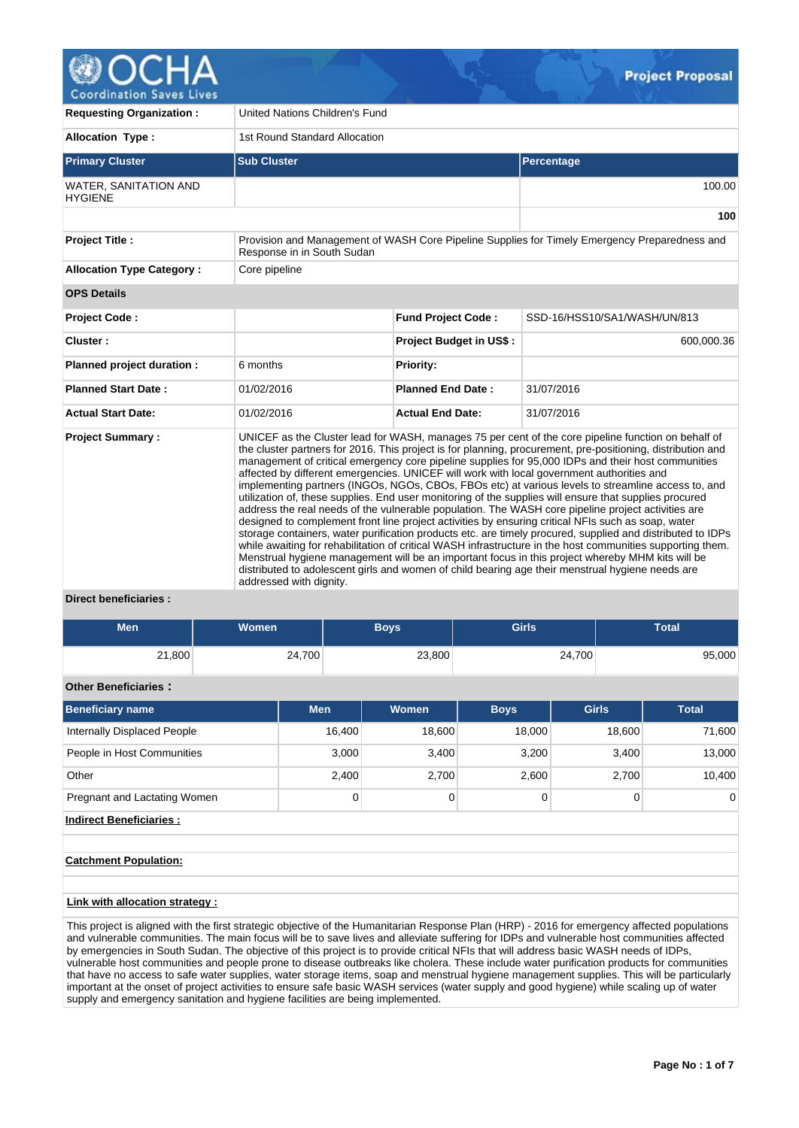

| <b>Requesting Organization:</b>                | United Nations Children's Fund                                                                                                                                                                                                                                                                                                                                                                                                                                                                                                                                                                                                                                                                                                                                                                                                                                                                                                                                                                                                                                                                                                                                                                                                                                                                                   |                                |                                                                                               |  |  |  |  |  |  |
|------------------------------------------------|------------------------------------------------------------------------------------------------------------------------------------------------------------------------------------------------------------------------------------------------------------------------------------------------------------------------------------------------------------------------------------------------------------------------------------------------------------------------------------------------------------------------------------------------------------------------------------------------------------------------------------------------------------------------------------------------------------------------------------------------------------------------------------------------------------------------------------------------------------------------------------------------------------------------------------------------------------------------------------------------------------------------------------------------------------------------------------------------------------------------------------------------------------------------------------------------------------------------------------------------------------------------------------------------------------------|--------------------------------|-----------------------------------------------------------------------------------------------|--|--|--|--|--|--|
| <b>Allocation Type:</b>                        | 1st Round Standard Allocation                                                                                                                                                                                                                                                                                                                                                                                                                                                                                                                                                                                                                                                                                                                                                                                                                                                                                                                                                                                                                                                                                                                                                                                                                                                                                    |                                |                                                                                               |  |  |  |  |  |  |
| <b>Primary Cluster</b>                         | <b>Sub Cluster</b>                                                                                                                                                                                                                                                                                                                                                                                                                                                                                                                                                                                                                                                                                                                                                                                                                                                                                                                                                                                                                                                                                                                                                                                                                                                                                               |                                | Percentage                                                                                    |  |  |  |  |  |  |
| <b>WATER, SANITATION AND</b><br><b>HYGIFNF</b> |                                                                                                                                                                                                                                                                                                                                                                                                                                                                                                                                                                                                                                                                                                                                                                                                                                                                                                                                                                                                                                                                                                                                                                                                                                                                                                                  |                                | 100.00                                                                                        |  |  |  |  |  |  |
|                                                |                                                                                                                                                                                                                                                                                                                                                                                                                                                                                                                                                                                                                                                                                                                                                                                                                                                                                                                                                                                                                                                                                                                                                                                                                                                                                                                  |                                | 100                                                                                           |  |  |  |  |  |  |
| Project Title :                                | Response in in South Sudan                                                                                                                                                                                                                                                                                                                                                                                                                                                                                                                                                                                                                                                                                                                                                                                                                                                                                                                                                                                                                                                                                                                                                                                                                                                                                       |                                | Provision and Management of WASH Core Pipeline Supplies for Timely Emergency Preparedness and |  |  |  |  |  |  |
| <b>Allocation Type Category:</b>               | Core pipeline                                                                                                                                                                                                                                                                                                                                                                                                                                                                                                                                                                                                                                                                                                                                                                                                                                                                                                                                                                                                                                                                                                                                                                                                                                                                                                    |                                |                                                                                               |  |  |  |  |  |  |
| <b>OPS Details</b>                             |                                                                                                                                                                                                                                                                                                                                                                                                                                                                                                                                                                                                                                                                                                                                                                                                                                                                                                                                                                                                                                                                                                                                                                                                                                                                                                                  |                                |                                                                                               |  |  |  |  |  |  |
| <b>Project Code:</b>                           |                                                                                                                                                                                                                                                                                                                                                                                                                                                                                                                                                                                                                                                                                                                                                                                                                                                                                                                                                                                                                                                                                                                                                                                                                                                                                                                  | <b>Fund Project Code:</b>      | SSD-16/HSS10/SA1/WASH/UN/813                                                                  |  |  |  |  |  |  |
| Cluster:                                       |                                                                                                                                                                                                                                                                                                                                                                                                                                                                                                                                                                                                                                                                                                                                                                                                                                                                                                                                                                                                                                                                                                                                                                                                                                                                                                                  | <b>Project Budget in US\$:</b> | 600,000.36                                                                                    |  |  |  |  |  |  |
| Planned project duration :                     | 6 months                                                                                                                                                                                                                                                                                                                                                                                                                                                                                                                                                                                                                                                                                                                                                                                                                                                                                                                                                                                                                                                                                                                                                                                                                                                                                                         | <b>Priority:</b>               |                                                                                               |  |  |  |  |  |  |
| <b>Planned Start Date:</b>                     | 01/02/2016                                                                                                                                                                                                                                                                                                                                                                                                                                                                                                                                                                                                                                                                                                                                                                                                                                                                                                                                                                                                                                                                                                                                                                                                                                                                                                       | <b>Planned End Date:</b>       | 31/07/2016                                                                                    |  |  |  |  |  |  |
| <b>Actual Start Date:</b>                      | 01/02/2016                                                                                                                                                                                                                                                                                                                                                                                                                                                                                                                                                                                                                                                                                                                                                                                                                                                                                                                                                                                                                                                                                                                                                                                                                                                                                                       | <b>Actual End Date:</b>        | 31/07/2016                                                                                    |  |  |  |  |  |  |
| <b>Project Summary:</b><br>.                   | UNICEF as the Cluster lead for WASH, manages 75 per cent of the core pipeline function on behalf of<br>the cluster partners for 2016. This project is for planning, procurement, pre-positioning, distribution and<br>management of critical emergency core pipeline supplies for 95,000 IDPs and their host communities<br>affected by different emergencies. UNICEF will work with local government authorities and<br>implementing partners (INGOs, NGOs, CBOs, FBOs etc) at various levels to streamline access to, and<br>utilization of, these supplies. End user monitoring of the supplies will ensure that supplies procured<br>address the real needs of the vulnerable population. The WASH core pipeline project activities are<br>designed to complement front line project activities by ensuring critical NFIs such as soap, water<br>storage containers, water purification products etc. are timely procured, supplied and distributed to IDPs<br>while awaiting for rehabilitation of critical WASH infrastructure in the host communities supporting them.<br>Menstrual hygiene management will be an important focus in this project whereby MHM kits will be<br>distributed to adolescent girls and women of child bearing age their menstrual hygiene needs are<br>addressed with dignity. |                                |                                                                                               |  |  |  |  |  |  |

### **Direct beneficiaries :**

| Men    | <b>Women</b> | <b>Boys</b> | <b>Girls</b> | <b>Total</b> |
|--------|--------------|-------------|--------------|--------------|
| 21,800 | 24,700       | 23,800      | 24,700       | 95,000       |

## **Other Beneficiaries :**

| <b>Beneficiary name</b>      | <b>Men</b> | <b>Women</b> | <b>Boys</b> | <b>Girls</b> | <b>Total</b>   |
|------------------------------|------------|--------------|-------------|--------------|----------------|
| Internally Displaced People  | 16,400     | 18,600       | 18,000      | 18,600       | 71,600         |
| People in Host Communities   | 3,000      | 3,400        | 3,200       | 3,400        | 13,000         |
| Other                        | 2,400      | 2,700        | 2,600       | 2.700        | 10,400         |
| Pregnant and Lactating Women | 0          |              |             |              | $\overline{0}$ |

**Indirect Beneficiaries :**

### **Catchment Population:**

# **Link with allocation strategy :**

This project is aligned with the first strategic objective of the Humanitarian Response Plan (HRP) - 2016 for emergency affected populations and vulnerable communities. The main focus will be to save lives and alleviate suffering for IDPs and vulnerable host communities affected by emergencies in South Sudan. The objective of this project is to provide critical NFIs that will address basic WASH needs of IDPs, vulnerable host communities and people prone to disease outbreaks like cholera. These include water purification products for communities that have no access to safe water supplies, water storage items, soap and menstrual hygiene management supplies. This will be particularly important at the onset of project activities to ensure safe basic WASH services (water supply and good hygiene) while scaling up of water supply and emergency sanitation and hygiene facilities are being implemented.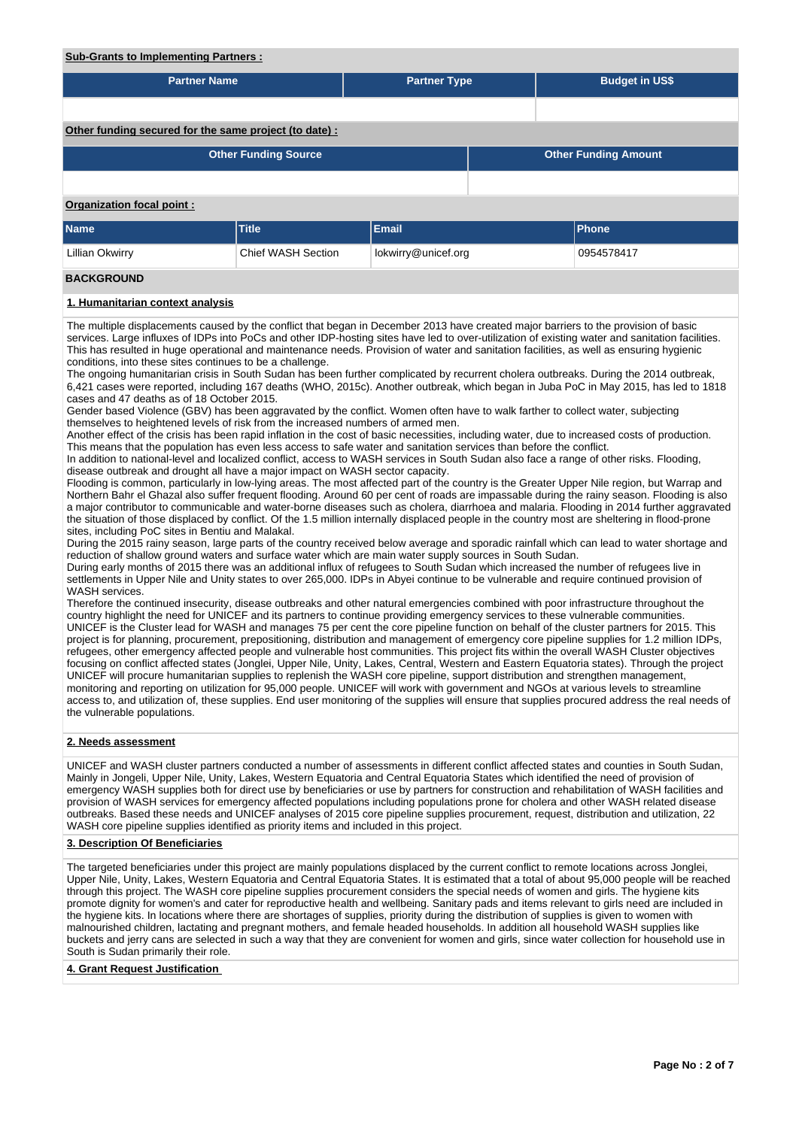#### **Sub-Grants to Implementing Partners :**

| <b>Partner Name</b>                                    |                             | <b>Partner Type</b> |  | <b>Budget in US\$</b> |                             |  |  |  |  |
|--------------------------------------------------------|-----------------------------|---------------------|--|-----------------------|-----------------------------|--|--|--|--|
|                                                        |                             |                     |  |                       |                             |  |  |  |  |
| Other funding secured for the same project (to date) : |                             |                     |  |                       |                             |  |  |  |  |
|                                                        | <b>Other Funding Source</b> |                     |  |                       | <b>Other Funding Amount</b> |  |  |  |  |
|                                                        |                             |                     |  |                       |                             |  |  |  |  |
| <b>Organization focal point:</b>                       |                             |                     |  |                       |                             |  |  |  |  |
| Name                                                   | <b>Title</b>                | <b>Email</b>        |  | <b>Phone</b>          |                             |  |  |  |  |
| Lillian Okwirry                                        | Chief WASH Section          | lokwirry@unicef.org |  |                       | 0954578417                  |  |  |  |  |
| <b>BACKGROUND</b>                                      |                             |                     |  |                       |                             |  |  |  |  |
| 1. Humanitarian context analysis                       |                             |                     |  |                       |                             |  |  |  |  |

The multiple displacements caused by the conflict that began in December 2013 have created major barriers to the provision of basic services. Large influxes of IDPs into PoCs and other IDP-hosting sites have led to over-utilization of existing water and sanitation facilities. This has resulted in huge operational and maintenance needs. Provision of water and sanitation facilities, as well as ensuring hygienic conditions, into these sites continues to be a challenge.

The ongoing humanitarian crisis in South Sudan has been further complicated by recurrent cholera outbreaks. During the 2014 outbreak, 6,421 cases were reported, including 167 deaths (WHO, 2015c). Another outbreak, which began in Juba PoC in May 2015, has led to 1818 cases and 47 deaths as of 18 October 2015.

Gender based Violence (GBV) has been aggravated by the conflict. Women often have to walk farther to collect water, subjecting themselves to heightened levels of risk from the increased numbers of armed men.

Another effect of the crisis has been rapid inflation in the cost of basic necessities, including water, due to increased costs of production. This means that the population has even less access to safe water and sanitation services than before the conflict.

In addition to national-level and localized conflict, access to WASH services in South Sudan also face a range of other risks. Flooding, disease outbreak and drought all have a major impact on WASH sector capacity.

Flooding is common, particularly in low-lying areas. The most affected part of the country is the Greater Upper Nile region, but Warrap and Northern Bahr el Ghazal also suffer frequent flooding. Around 60 per cent of roads are impassable during the rainy season. Flooding is also a major contributor to communicable and water-borne diseases such as cholera, diarrhoea and malaria. Flooding in 2014 further aggravated the situation of those displaced by conflict. Of the 1.5 million internally displaced people in the country most are sheltering in flood-prone sites, including PoC sites in Bentiu and Malakal.

During the 2015 rainy season, large parts of the country received below average and sporadic rainfall which can lead to water shortage and reduction of shallow ground waters and surface water which are main water supply sources in South Sudan.

During early months of 2015 there was an additional influx of refugees to South Sudan which increased the number of refugees live in settlements in Upper Nile and Unity states to over 265,000. IDPs in Abyei continue to be vulnerable and require continued provision of WASH services.

Therefore the continued insecurity, disease outbreaks and other natural emergencies combined with poor infrastructure throughout the country highlight the need for UNICEF and its partners to continue providing emergency services to these vulnerable communities. UNICEF is the Cluster lead for WASH and manages 75 per cent the core pipeline function on behalf of the cluster partners for 2015. This project is for planning, procurement, prepositioning, distribution and management of emergency core pipeline supplies for 1.2 million IDPs, refugees, other emergency affected people and vulnerable host communities. This project fits within the overall WASH Cluster objectives focusing on conflict affected states (Jonglei, Upper Nile, Unity, Lakes, Central, Western and Eastern Equatoria states). Through the project UNICEF will procure humanitarian supplies to replenish the WASH core pipeline, support distribution and strengthen management, monitoring and reporting on utilization for 95,000 people. UNICEF will work with government and NGOs at various levels to streamline access to, and utilization of, these supplies. End user monitoring of the supplies will ensure that supplies procured address the real needs of the vulnerable populations.

### **2. Needs assessment**

UNICEF and WASH cluster partners conducted a number of assessments in different conflict affected states and counties in South Sudan, Mainly in Jongeli, Upper Nile, Unity, Lakes, Western Equatoria and Central Equatoria States which identified the need of provision of emergency WASH supplies both for direct use by beneficiaries or use by partners for construction and rehabilitation of WASH facilities and provision of WASH services for emergency affected populations including populations prone for cholera and other WASH related disease outbreaks. Based these needs and UNICEF analyses of 2015 core pipeline supplies procurement, request, distribution and utilization, 22 WASH core pipeline supplies identified as priority items and included in this project.

### **3. Description Of Beneficiaries**

The targeted beneficiaries under this project are mainly populations displaced by the current conflict to remote locations across Jonglei, Upper Nile, Unity, Lakes, Western Equatoria and Central Equatoria States. It is estimated that a total of about 95,000 people will be reached through this project. The WASH core pipeline supplies procurement considers the special needs of women and girls. The hygiene kits promote dignity for women's and cater for reproductive health and wellbeing. Sanitary pads and items relevant to girls need are included in the hygiene kits. In locations where there are shortages of supplies, priority during the distribution of supplies is given to women with malnourished children, lactating and pregnant mothers, and female headed households. In addition all household WASH supplies like buckets and jerry cans are selected in such a way that they are convenient for women and girls, since water collection for household use in South is Sudan primarily their role.

### **4. Grant Request Justification**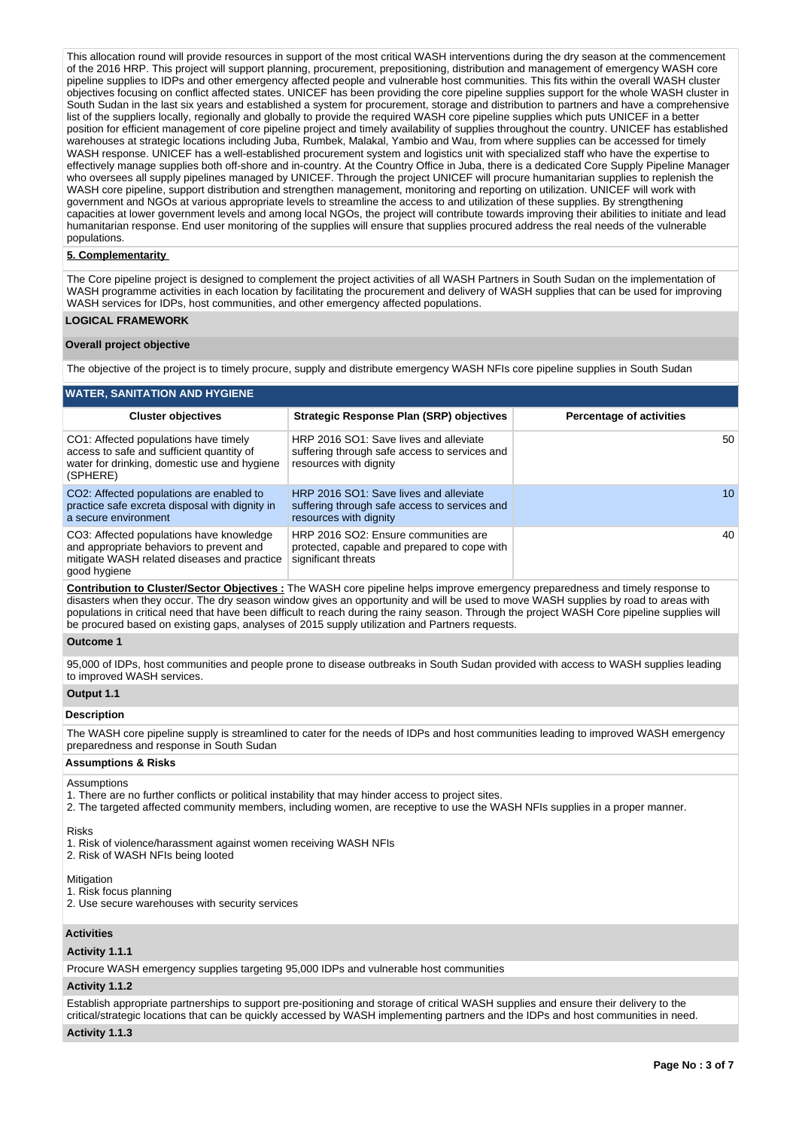This allocation round will provide resources in support of the most critical WASH interventions during the dry season at the commencement of the 2016 HRP. This project will support planning, procurement, prepositioning, distribution and management of emergency WASH core pipeline supplies to IDPs and other emergency affected people and vulnerable host communities. This fits within the overall WASH cluster objectives focusing on conflict affected states. UNICEF has been providing the core pipeline supplies support for the whole WASH cluster in South Sudan in the last six years and established a system for procurement, storage and distribution to partners and have a comprehensive list of the suppliers locally, regionally and globally to provide the required WASH core pipeline supplies which puts UNICEF in a better position for efficient management of core pipeline project and timely availability of supplies throughout the country. UNICEF has established warehouses at strategic locations including Juba, Rumbek, Malakal, Yambio and Wau, from where supplies can be accessed for timely WASH response. UNICEF has a well-established procurement system and logistics unit with specialized staff who have the expertise to effectively manage supplies both off-shore and in-country. At the Country Office in Juba, there is a dedicated Core Supply Pipeline Manager who oversees all supply pipelines managed by UNICEF. Through the project UNICEF will procure humanitarian supplies to replenish the WASH core pipeline, support distribution and strengthen management, monitoring and reporting on utilization. UNICEF will work with government and NGOs at various appropriate levels to streamline the access to and utilization of these supplies. By strengthening capacities at lower government levels and among local NGOs, the project will contribute towards improving their abilities to initiate and lead humanitarian response. End user monitoring of the supplies will ensure that supplies procured address the real needs of the vulnerable populations.

# **5. Complementarity**

The Core pipeline project is designed to complement the project activities of all WASH Partners in South Sudan on the implementation of WASH programme activities in each location by facilitating the procurement and delivery of WASH supplies that can be used for improving WASH services for IDPs, host communities, and other emergency affected populations.

### **LOGICAL FRAMEWORK**

#### **Overall project objective**

The objective of the project is to timely procure, supply and distribute emergency WASH NFIs core pipeline supplies in South Sudan

# **WATER, SANITATION AND HYGIENE**

| <b>Cluster objectives</b>                                                                                                                           | <b>Strategic Response Plan (SRP) objectives</b>                                                                   | <b>Percentage of activities</b> |
|-----------------------------------------------------------------------------------------------------------------------------------------------------|-------------------------------------------------------------------------------------------------------------------|---------------------------------|
| CO1: Affected populations have timely<br>access to safe and sufficient quantity of<br>water for drinking, domestic use and hygiene<br>(SPHERE)      | HRP 2016 SO1: Save lives and alleviate<br>suffering through safe access to services and<br>resources with dignity | 50                              |
| CO2: Affected populations are enabled to<br>practice safe excreta disposal with dignity in<br>a secure environment                                  | HRP 2016 SO1: Save lives and alleviate<br>suffering through safe access to services and<br>resources with dignity | 10                              |
| CO3: Affected populations have knowledge<br>and appropriate behaviors to prevent and<br>mitigate WASH related diseases and practice<br>good hygiene | HRP 2016 SO2: Ensure communities are<br>protected, capable and prepared to cope with<br>significant threats       | 40                              |

**Contribution to Cluster/Sector Objectives :** The WASH core pipeline helps improve emergency preparedness and timely response to disasters when they occur. The dry season window gives an opportunity and will be used to move WASH supplies by road to areas with populations in critical need that have been difficult to reach during the rainy season. Through the project WASH Core pipeline supplies will be procured based on existing gaps, analyses of 2015 supply utilization and Partners requests.

#### **Outcome 1**

95,000 of IDPs, host communities and people prone to disease outbreaks in South Sudan provided with access to WASH supplies leading to improved WASH services.

# **Output 1.1**

### **Description**

The WASH core pipeline supply is streamlined to cater for the needs of IDPs and host communities leading to improved WASH emergency preparedness and response in South Sudan

#### **Assumptions & Risks**

# Assumptions

- 1. There are no further conflicts or political instability that may hinder access to project sites.
- 2. The targeted affected community members, including women, are receptive to use the WASH NFIs supplies in a proper manner.

# Risks

- 1. Risk of violence/harassment against women receiving WASH NFIs
- 2. Risk of WASH NFIs being looted

# **Mitigation**

- 1. Risk focus planning
- 2. Use secure warehouses with security services

# **Activities**

# **Activity 1.1.1**

Procure WASH emergency supplies targeting 95,000 IDPs and vulnerable host communities

# **Activity 1.1.2**

Establish appropriate partnerships to support pre-positioning and storage of critical WASH supplies and ensure their delivery to the critical/strategic locations that can be quickly accessed by WASH implementing partners and the IDPs and host communities in need.

# **Activity 1.1.3**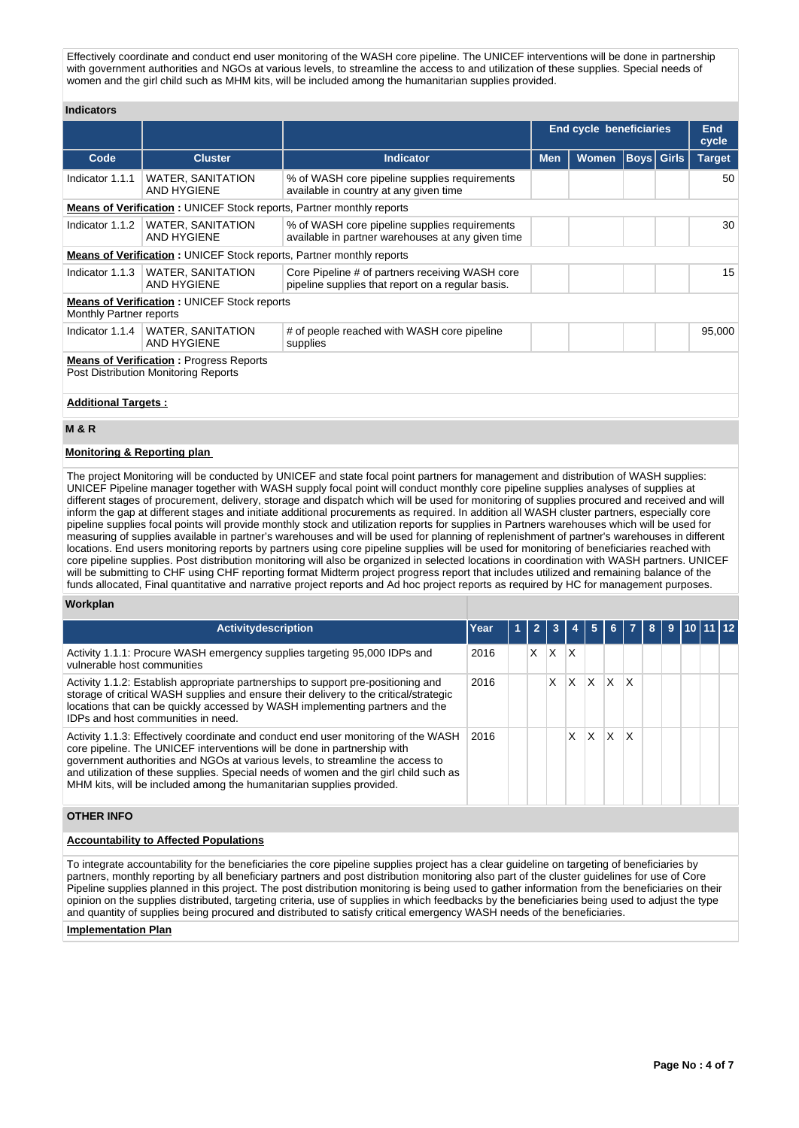Effectively coordinate and conduct end user monitoring of the WASH core pipeline. The UNICEF interventions will be done in partnership with government authorities and NGOs at various levels, to streamline the access to and utilization of these supplies. Special needs of women and the girl child such as MHM kits, will be included among the humanitarian supplies provided.

## **Indicators**

|                            |                                                                                               |                                                                                                      | <b>End cycle beneficiaries</b> |              |                   |  | <b>End</b><br>cycle |  |  |  |
|----------------------------|-----------------------------------------------------------------------------------------------|------------------------------------------------------------------------------------------------------|--------------------------------|--------------|-------------------|--|---------------------|--|--|--|
| Code                       | <b>Cluster</b>                                                                                | <b>Indicator</b>                                                                                     | <b>Men</b>                     | <b>Women</b> | <b>Boys</b> Girls |  | <b>Target</b>       |  |  |  |
| Indicator 1.1.1            | <b>WATER, SANITATION</b><br><b>AND HYGIENE</b>                                                | % of WASH core pipeline supplies requirements<br>available in country at any given time              |                                |              |                   |  | 50                  |  |  |  |
|                            | <b>Means of Verification: UNICEF Stock reports, Partner monthly reports</b>                   |                                                                                                      |                                |              |                   |  |                     |  |  |  |
| Indicator 1.1.2            | WATER, SANITATION<br>AND HYGIENE                                                              | % of WASH core pipeline supplies requirements<br>available in partner warehouses at any given time   |                                |              |                   |  |                     |  |  |  |
|                            | <b>Means of Verification: UNICEF Stock reports, Partner monthly reports</b>                   |                                                                                                      |                                |              |                   |  |                     |  |  |  |
| Indicator 1.1.3            | <b>WATER, SANITATION</b><br><b>AND HYGIENE</b>                                                | Core Pipeline # of partners receiving WASH core<br>pipeline supplies that report on a regular basis. |                                |              |                   |  | 15                  |  |  |  |
| Monthly Partner reports    | <b>Means of Verification: UNICEF Stock reports</b>                                            |                                                                                                      |                                |              |                   |  |                     |  |  |  |
| Indicator 1.1.4            | <b>WATER, SANITATION</b><br><b>AND HYGIENE</b>                                                | # of people reached with WASH core pipeline<br>supplies                                              |                                |              |                   |  | 95,000              |  |  |  |
|                            | <b>Means of Verification:</b> Progress Reports<br><b>Post Distribution Monitoring Reports</b> |                                                                                                      |                                |              |                   |  |                     |  |  |  |
| <b>Additional Targets:</b> |                                                                                               |                                                                                                      |                                |              |                   |  |                     |  |  |  |

#### **M & R**

### **Monitoring & Reporting plan**

The project Monitoring will be conducted by UNICEF and state focal point partners for management and distribution of WASH supplies: UNICEF Pipeline manager together with WASH supply focal point will conduct monthly core pipeline supplies analyses of supplies at different stages of procurement, delivery, storage and dispatch which will be used for monitoring of supplies procured and received and will inform the gap at different stages and initiate additional procurements as required. In addition all WASH cluster partners, especially core pipeline supplies focal points will provide monthly stock and utilization reports for supplies in Partners warehouses which will be used for measuring of supplies available in partner's warehouses and will be used for planning of replenishment of partner's warehouses in different locations. End users monitoring reports by partners using core pipeline supplies will be used for monitoring of beneficiaries reached with core pipeline supplies. Post distribution monitoring will also be organized in selected locations in coordination with WASH partners. UNICEF will be submitting to CHF using CHF reporting format Midterm project progress report that includes utilized and remaining balance of the funds allocated, Final quantitative and narrative project reports and Ad hoc project reports as required by HC for management purposes.

#### **Workplan**

| Activitydescription                                                                                                                                                                                                                                                                                                                                                                                              | Year | 2 | 3 |   |   | 61 |    | 8 | 9 |  |  |
|------------------------------------------------------------------------------------------------------------------------------------------------------------------------------------------------------------------------------------------------------------------------------------------------------------------------------------------------------------------------------------------------------------------|------|---|---|---|---|----|----|---|---|--|--|
| Activity 1.1.1: Procure WASH emergency supplies targeting 95,000 IDPs and<br>vulnerable host communities                                                                                                                                                                                                                                                                                                         | 2016 | X | X | X |   |    |    |   |   |  |  |
| Activity 1.1.2: Establish appropriate partnerships to support pre-positioning and<br>storage of critical WASH supplies and ensure their delivery to the critical/strategic<br>locations that can be quickly accessed by WASH implementing partners and the<br>IDPs and host communities in need.                                                                                                                 | 2016 |   | x | X | X | X  | ΙX |   |   |  |  |
| Activity 1.1.3: Effectively coordinate and conduct end user monitoring of the WASH<br>core pipeline. The UNICEF interventions will be done in partnership with<br>government authorities and NGOs at various levels, to streamline the access to<br>and utilization of these supplies. Special needs of women and the girl child such as<br>MHM kits, will be included among the humanitarian supplies provided. | 2016 |   |   | X | x | X  | ΙX |   |   |  |  |

### **OTHER INFO**

### **Accountability to Affected Populations**

To integrate accountability for the beneficiaries the core pipeline supplies project has a clear guideline on targeting of beneficiaries by partners, monthly reporting by all beneficiary partners and post distribution monitoring also part of the cluster guidelines for use of Core Pipeline supplies planned in this project. The post distribution monitoring is being used to gather information from the beneficiaries on their opinion on the supplies distributed, targeting criteria, use of supplies in which feedbacks by the beneficiaries being used to adjust the type and quantity of supplies being procured and distributed to satisfy critical emergency WASH needs of the beneficiaries.

#### **Implementation Plan**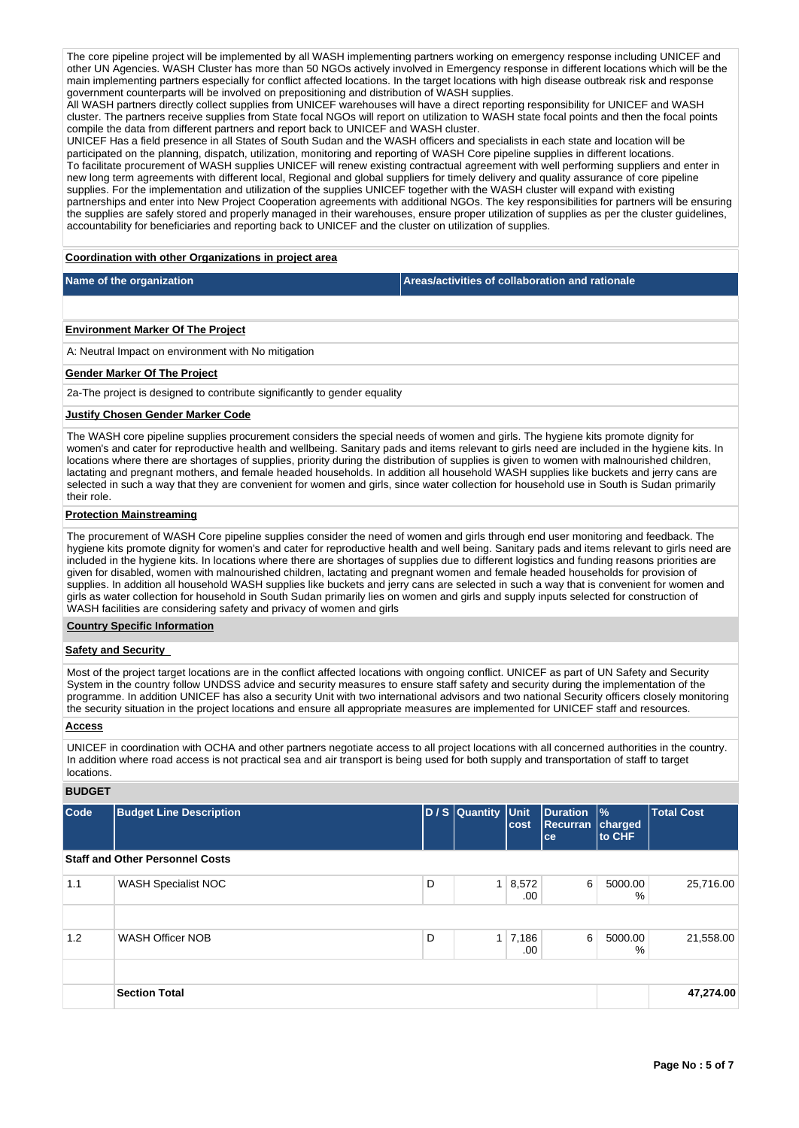The core pipeline project will be implemented by all WASH implementing partners working on emergency response including UNICEF and other UN Agencies. WASH Cluster has more than 50 NGOs actively involved in Emergency response in different locations which will be the main implementing partners especially for conflict affected locations. In the target locations with high disease outbreak risk and response government counterparts will be involved on prepositioning and distribution of WASH supplies.

All WASH partners directly collect supplies from UNICEF warehouses will have a direct reporting responsibility for UNICEF and WASH cluster. The partners receive supplies from State focal NGOs will report on utilization to WASH state focal points and then the focal points compile the data from different partners and report back to UNICEF and WASH cluster.

UNICEF Has a field presence in all States of South Sudan and the WASH officers and specialists in each state and location will be participated on the planning, dispatch, utilization, monitoring and reporting of WASH Core pipeline supplies in different locations. To facilitate procurement of WASH supplies UNICEF will renew existing contractual agreement with well performing suppliers and enter in new long term agreements with different local, Regional and global suppliers for timely delivery and quality assurance of core pipeline supplies. For the implementation and utilization of the supplies UNICEF together with the WASH cluster will expand with existing partnerships and enter into New Project Cooperation agreements with additional NGOs. The key responsibilities for partners will be ensuring the supplies are safely stored and properly managed in their warehouses, ensure proper utilization of supplies as per the cluster guidelines, accountability for beneficiaries and reporting back to UNICEF and the cluster on utilization of supplies.

**Coordination with other Organizations in project area**

**Name of the organization Areas/activities of collaboration and rationale** 

### **Environment Marker Of The Project**

A: Neutral Impact on environment with No mitigation

#### **Gender Marker Of The Project**

2a-The project is designed to contribute significantly to gender equality

# **Justify Chosen Gender Marker Code**

The WASH core pipeline supplies procurement considers the special needs of women and girls. The hygiene kits promote dignity for women's and cater for reproductive health and wellbeing. Sanitary pads and items relevant to girls need are included in the hygiene kits. In locations where there are shortages of supplies, priority during the distribution of supplies is given to women with malnourished children, lactating and pregnant mothers, and female headed households. In addition all household WASH supplies like buckets and jerry cans are selected in such a way that they are convenient for women and girls, since water collection for household use in South is Sudan primarily their role.

### **Protection Mainstreaming**

The procurement of WASH Core pipeline supplies consider the need of women and girls through end user monitoring and feedback. The hygiene kits promote dignity for women's and cater for reproductive health and well being. Sanitary pads and items relevant to girls need are included in the hygiene kits. In locations where there are shortages of supplies due to different logistics and funding reasons priorities are given for disabled, women with malnourished children, lactating and pregnant women and female headed households for provision of supplies. In addition all household WASH supplies like buckets and jerry cans are selected in such a way that is convenient for women and girls as water collection for household in South Sudan primarily lies on women and girls and supply inputs selected for construction of WASH facilities are considering safety and privacy of women and girls

#### **Country Specific Information**

# **Safety and Security**

Most of the project target locations are in the conflict affected locations with ongoing conflict. UNICEF as part of UN Safety and Security System in the country follow UNDSS advice and security measures to ensure staff safety and security during the implementation of the programme. In addition UNICEF has also a security Unit with two international advisors and two national Security officers closely monitoring the security situation in the project locations and ensure all appropriate measures are implemented for UNICEF staff and resources.

# **Access**

UNICEF in coordination with OCHA and other partners negotiate access to all project locations with all concerned authorities in the country. In addition where road access is not practical sea and air transport is being used for both supply and transportation of staff to target locations.

# **BUDGET**

| Code | <b>Budget Line Description</b>         |   | D / S Quantity Unit | cost                  | <b>Duration</b><br><b>Recurran</b><br>ce | $\frac{9}{6}$<br>charged<br><b>Ito CHF</b> | <b>Total Cost</b> |
|------|----------------------------------------|---|---------------------|-----------------------|------------------------------------------|--------------------------------------------|-------------------|
|      | <b>Staff and Other Personnel Costs</b> |   |                     |                       |                                          |                                            |                   |
| 1.1  | <b>WASH Specialist NOC</b>             | D |                     | $1 \, 8,572$<br>.00   | 6                                        | 5000.00<br>%                               | 25,716.00         |
|      |                                        |   |                     |                       |                                          |                                            |                   |
| 1.2  | <b>WASH Officer NOB</b>                | D |                     | $1 \mid 7,186$<br>.00 | 6                                        | 5000.00<br>%                               | 21,558.00         |
|      |                                        |   |                     |                       |                                          |                                            |                   |
|      | <b>Section Total</b>                   |   |                     |                       |                                          |                                            | 47,274.00         |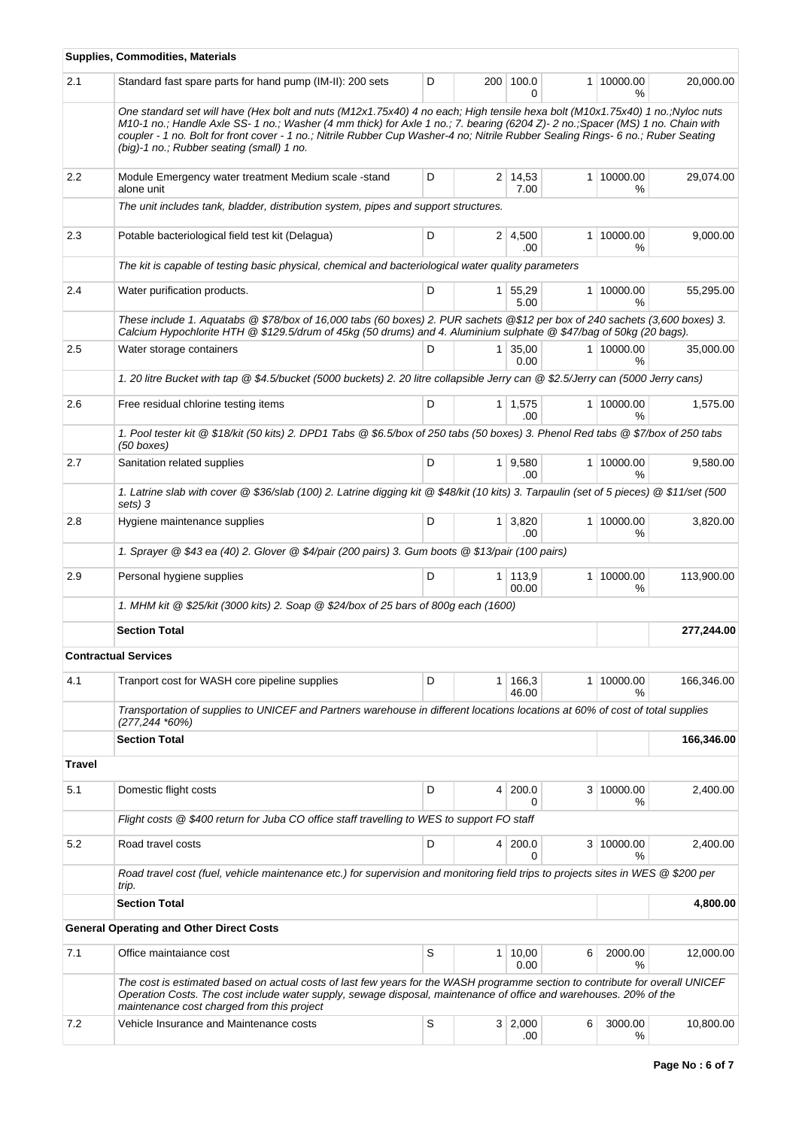|         | <b>Supplies, Commodities, Materials</b>                                                                                                                                                                                                                                                                                                                                                                                                       |   |                |                         |   |                             |            |
|---------|-----------------------------------------------------------------------------------------------------------------------------------------------------------------------------------------------------------------------------------------------------------------------------------------------------------------------------------------------------------------------------------------------------------------------------------------------|---|----------------|-------------------------|---|-----------------------------|------------|
| 2.1     | Standard fast spare parts for hand pump (IM-II): 200 sets                                                                                                                                                                                                                                                                                                                                                                                     | D | 200            | 100.0<br><sup>0</sup>   |   | 1 10000.00<br>%             | 20,000.00  |
|         | One standard set will have (Hex bolt and nuts (M12x1.75x40) 4 no each; High tensile hexa bolt (M10x1.75x40) 1 no.;Nyloc nuts<br>M10-1 no.; Handle Axle SS-1 no.; Washer (4 mm thick) for Axle 1 no.; 7. bearing (6204 Z)-2 no.; Spacer (MS) 1 no. Chain with<br>coupler - 1 no. Bolt for front cover - 1 no.; Nitrile Rubber Cup Washer-4 no; Nitrile Rubber Sealing Rings- 6 no.; Ruber Seating<br>(big)-1 no.; Rubber seating (small) 1 no. |   |                |                         |   |                             |            |
| $2.2\,$ | Module Emergency water treatment Medium scale -stand<br>alone unit                                                                                                                                                                                                                                                                                                                                                                            | D |                | $2 \mid 14,53$<br>7.00  |   | 1 10000.00<br>℅             | 29,074.00  |
|         | The unit includes tank, bladder, distribution system, pipes and support structures.                                                                                                                                                                                                                                                                                                                                                           |   |                |                         |   |                             |            |
| 2.3     | Potable bacteriological field test kit (Delagua)                                                                                                                                                                                                                                                                                                                                                                                              | D |                | 2 4,500<br>.00          |   | 1 10000.00<br>℅             | 9,000.00   |
|         | The kit is capable of testing basic physical, chemical and bacteriological water quality parameters                                                                                                                                                                                                                                                                                                                                           |   |                |                         |   |                             |            |
| 2.4     | Water purification products.                                                                                                                                                                                                                                                                                                                                                                                                                  | D |                | 1 55,29<br>5.00         |   | 1 10000.00<br>%             | 55,295.00  |
|         | These include 1. Aquatabs @ \$78/box of 16,000 tabs (60 boxes) 2. PUR sachets @\$12 per box of 240 sachets (3,600 boxes) 3.<br>Calcium Hypochlorite HTH @ \$129.5/drum of 45kg (50 drums) and 4. Aluminium sulphate @ \$47/bag of 50kg (20 bags).                                                                                                                                                                                             |   |                |                         |   |                             |            |
| 2.5     | Water storage containers                                                                                                                                                                                                                                                                                                                                                                                                                      | D |                | $1 \mid 35,00$<br>0.00  |   | 1 10000.00<br>$\frac{9}{6}$ | 35,000.00  |
|         | 1. 20 litre Bucket with tap @ \$4.5/bucket (5000 buckets) 2. 20 litre collapsible Jerry can @ \$2.5/Jerry can (5000 Jerry cans)                                                                                                                                                                                                                                                                                                               |   |                |                         |   |                             |            |
| 2.6     | Free residual chlorine testing items                                                                                                                                                                                                                                                                                                                                                                                                          | D |                | $1 \mid 1,575$<br>.00.  |   | 1 10000.00<br>℅             | 1,575.00   |
|         | 1. Pool tester kit @ \$18/kit (50 kits) 2. DPD1 Tabs @ \$6.5/box of 250 tabs (50 boxes) 3. Phenol Red tabs @ \$7/box of 250 tabs<br>$(50 \text{ boxes})$                                                                                                                                                                                                                                                                                      |   |                |                         |   |                             |            |
| 2.7     | Sanitation related supplies                                                                                                                                                                                                                                                                                                                                                                                                                   | D |                | 1 9,580<br>.00          |   | 1 10000.00<br>℅             | 9,580.00   |
|         | 1. Latrine slab with cover @ \$36/slab (100) 2. Latrine digging kit @ \$48/kit (10 kits) 3. Tarpaulin (set of 5 pieces) @ \$11/set (500<br>sets) 3                                                                                                                                                                                                                                                                                            |   |                |                         |   |                             |            |
| 2.8     | Hygiene maintenance supplies                                                                                                                                                                                                                                                                                                                                                                                                                  | D |                | $1 \, 3,820$<br>.00     |   | 1 10000.00<br>%             | 3,820.00   |
|         | 1. Sprayer @ \$43 ea (40) 2. Glover @ \$4/pair (200 pairs) 3. Gum boots @ \$13/pair (100 pairs)                                                                                                                                                                                                                                                                                                                                               |   |                |                         |   |                             |            |
| 2.9     | Personal hygiene supplies                                                                                                                                                                                                                                                                                                                                                                                                                     | D |                | $1 \mid 113.9$<br>00.00 |   | 1 10000.00<br>%             | 113,900.00 |
|         | 1. MHM kit @ \$25/kit (3000 kits) 2. Soap @ \$24/box of 25 bars of 800g each (1600)                                                                                                                                                                                                                                                                                                                                                           |   |                |                         |   |                             |            |
|         | <b>Section Total</b>                                                                                                                                                                                                                                                                                                                                                                                                                          |   |                |                         |   |                             | 277,244.00 |
|         | <b>Contractual Services</b>                                                                                                                                                                                                                                                                                                                                                                                                                   |   |                |                         |   |                             |            |
| 4.1     | Tranport cost for WASH core pipeline supplies                                                                                                                                                                                                                                                                                                                                                                                                 | D | 1 <sup>1</sup> | 166,3<br>46.00          |   | 1 10000.00<br>℅             | 166,346.00 |
|         | Transportation of supplies to UNICEF and Partners warehouse in different locations locations at 60% of cost of total supplies<br>(277,244 *60%)                                                                                                                                                                                                                                                                                               |   |                |                         |   |                             |            |
|         | <b>Section Total</b>                                                                                                                                                                                                                                                                                                                                                                                                                          |   |                |                         |   |                             | 166,346.00 |
| Travel  |                                                                                                                                                                                                                                                                                                                                                                                                                                               |   |                |                         |   |                             |            |
| 5.1     | Domestic flight costs                                                                                                                                                                                                                                                                                                                                                                                                                         | D |                | 4 200.0<br>0            |   | 3 10000.00<br>℅             | 2,400.00   |
|         | Flight costs @ \$400 return for Juba CO office staff travelling to WES to support FO staff                                                                                                                                                                                                                                                                                                                                                    |   |                |                         |   |                             |            |
| 5.2     | Road travel costs                                                                                                                                                                                                                                                                                                                                                                                                                             | D |                | 4 200.0<br>0            |   | 3 10000.00<br>%             | 2,400.00   |
|         | Road travel cost (fuel, vehicle maintenance etc.) for supervision and monitoring field trips to projects sites in WES @ \$200 per<br>trip.                                                                                                                                                                                                                                                                                                    |   |                |                         |   |                             |            |
|         | <b>Section Total</b>                                                                                                                                                                                                                                                                                                                                                                                                                          |   |                |                         |   |                             | 4,800.00   |
|         | <b>General Operating and Other Direct Costs</b>                                                                                                                                                                                                                                                                                                                                                                                               |   |                |                         |   |                             |            |
| 7.1     | Office maintaiance cost                                                                                                                                                                                                                                                                                                                                                                                                                       | S |                | $1 \mid 10,00$<br>0.00  | 6 | 2000.00<br>℅                | 12,000.00  |
|         | The cost is estimated based on actual costs of last few years for the WASH programme section to contribute for overall UNICEF<br>Operation Costs. The cost include water supply, sewage disposal, maintenance of office and warehouses. 20% of the<br>maintenance cost charged from this project                                                                                                                                              |   |                |                         |   |                             |            |
| 7.2     | Vehicle Insurance and Maintenance costs                                                                                                                                                                                                                                                                                                                                                                                                       | S |                | 3   2,000<br>.00        | 6 | 3000.00<br>%                | 10,800.00  |